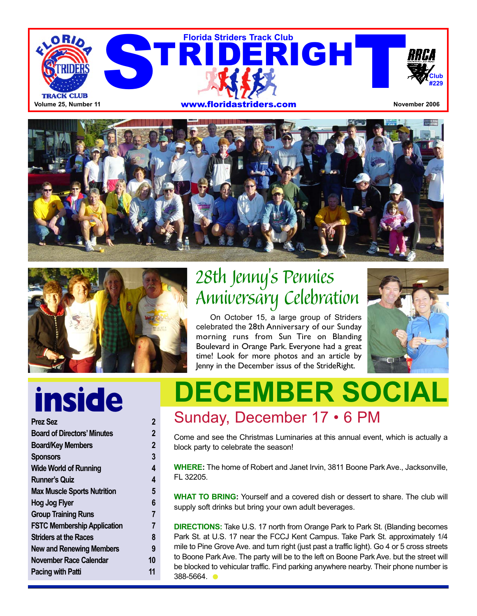





## 28th Jenny's Pennies Anniversary Celebration

On October 15, a large group of Striders celebrated the 28th Anniversary of our Sunday morning runs from Sun Tire on Blanding Boulevard in Orange Park. Everyone had a great time! Look for more photos and an article by Jenny in the December issus of the StrideRight.



# **inside**

| <b>Prez Sez</b>                    | $\overline{2}$ |
|------------------------------------|----------------|
| <b>Board of Directors' Minutes</b> | 2              |
| <b>Board/Key Members</b>           | $\overline{2}$ |
| <b>Sponsors</b>                    | 3              |
| <b>Wide World of Running</b>       | 4              |
| <b>Runner's Quiz</b>               | 4              |
| <b>Max Muscle Sports Nutrition</b> | 5              |
| Hog Jog Flyer                      | 6              |
| <b>Group Training Runs</b>         | 7              |
| <b>FSTC Membership Application</b> | 7              |
| <b>Striders at the Races</b>       | 8              |
| <b>New and Renewing Members</b>    | 9              |
| November Race Calendar             | 10             |
| Pacing with Patti                  | 11             |

## **DECEMBER SOCIAL** Sunday, December 17 • 6 PM

Come and see the Christmas Luminaries at this annual event, which is actually a block party to celebrate the season!

**WHERE:** The home of Robert and Janet Irvin, 3811 Boone Park Ave., Jacksonville, FL 32205.

**WHAT TO BRING:** Yourself and a covered dish or dessert to share. The club will supply soft drinks but bring your own adult beverages.

**DIRECTIONS:** Take U.S. 17 north from Orange Park to Park St. (Blanding becomes Park St. at U.S. 17 near the FCCJ Kent Campus. Take Park St. approximately 1/4 mile to Pine Grove Ave. and turn right (just past a traffic light). Go 4 or 5 cross streets to Boone Park Ave. The party will be to the left on Boone Park Ave. but the street will be blocked to vehicular traffic. Find parking anywhere nearby. Their phone number is 388-5664.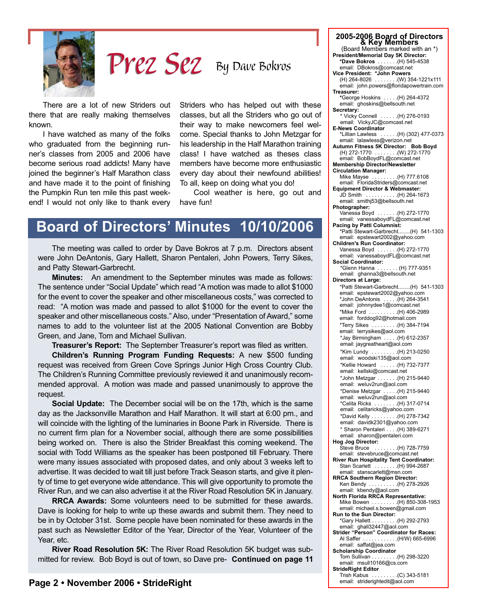

By Dave Bokros Prez Sez

There are a lot of new Striders out there that are really making themselves known.

I have watched as many of the folks who graduated from the beginning runner's classes from 2005 and 2006 have become serious road addicts! Many have joined the beginner's Half Marathon class and have made it to the point of finishing the Pumpkin Run ten mile this past weekend! I would not only like to thank every Striders who has helped out with these classes, but all the Striders who go out of their way to make newcomers feel welcome. Special thanks to John Metzgar for his leadership in the Half Marathon training class! I have watched as theses class members have become more enthusiastic every day about their newfound abilities! To all, keep on doing what you do!

Cool weather is here, go out and have fun!

### **Board of Directors' Minutes 10/10/2006**

The meeting was called to order by Dave Bokros at 7 p.m. Directors absent were John DeAntonis, Gary Hallett, Sharon Pentaleri, John Powers, Terry Sikes, and Patty Stewart-Garbrecht.

**Minutes:** An amendment to the September minutes was made as follows: The sentence under "Social Update" which read "A motion was made to allot \$1000 for the event to cover the speaker and other miscellaneous costs," was corrected to read: "A motion was made and passed to allot \$1000 for the event to cover the speaker and other miscellaneous costs." Also, under "Presentation of Award," some names to add to the volunteer list at the 2005 National Convention are Bobby Green, and Jane, Tom and Michael Sullivan.

**Treasurer's Report:** The September Treasurer's report was filed as written.

**Children's Running Program Funding Requests:** A new \$500 funding request was received from Green Cove Springs Junior High Cross Country Club. The Children's Running Committee previously reviewed it and unanimously recommended approval. A motion was made and passed unanimously to approve the request.

**Social Update:** The December social will be on the 17th, which is the same day as the Jacksonville Marathon and Half Marathon. It will start at 6:00 pm., and will coincide with the lighting of the luminaries in Boone Park in Riverside. There is no current firm plan for a November social, although there are some possibilities being worked on. There is also the Strider Breakfast this coming weekend. The social with Todd Williams as the speaker has been postponed till February. There were many issues associated with proposed dates, and only about 3 weeks left to advertise. It was decided to wait till just before Track Season starts, and give it plenty of time to get everyone wide attendance. This will give opportunity to promote the River Run, and we can also advertise it at the River Road Resolution 5K in January.

**RRCA Awards:** Some volunteers need to be submitted for these awards. Dave is looking for help to write up these awards and submit them. They need to be in by October 31st. Some people have been nominated for these awards in the past such as Newsletter Editor of the Year, Director of the Year, Volunteer of the Year, etc.

**River Road Resolution 5K:** The River Road Resolution 5K budget was submitted for review. Bob Boyd is out of town, so Dave pre- **Continued on page 11**

**2005-2006 Board of Directors & Key Members** (Board Members marked with an \*) **President/Memorial Day 5K Director: \*Dave Bokros** . . . . . . .(H) 545-4538 email: DBokros@comcast.net **Vice President: \*John Powers**  $.$  . .(W) 354-1221x111 email: john.powers@floridapowertrain.com **Treasurer: \***George Hoskins . . . . .(H) 264-4372 email: ghoskins@bellsouth.net **Secretary:** Vicky Connell . . . . . . (H) 276-0193 email: VickyJC@comcast.net **E-News Coordinator** \*Lillian Lawless . . . . . .(H) (302) 477-0373 email: lalawless@verizon.net **Autumn Fitness 5K Director: Bob Boyd** (H) 272-1770 . . . . . . . .(W) 272-1770 email: BobBoydFL@comcast.net **Membership Director/Newsletter Circulation Manager:**  $\ldots$  . . . . . . . (H) 777.6108 email: FloridaStriders@comcast.net **Equipment Director & Webmaster:**  $\ldots$  (H) 264-1673 email: smithj53@bellsouth.net **Photographer:** Vanessa Boyd . . . . . . .(H) 272-1770 email: vanessaboydFL@comcast.net **Pacing by Patti Columnist:** \*Patti Stewart-Garbrecht........(H) 541-1303 email: epstewart2002@yahoo.com **Children's Run Coordinator:** Vanessa Boyd . . . . . . .(H) 272-1770 email: vanessaboydFL@comcast.net **Social Coordinator:** \*Glenn Hanna . . . . . . . (H) 777-9351 email: ghanna3@bellsouth.net **Directors at Large:** \*Patti Stewart-Garbrecht........(H) 541-1303 email: epstewart2002@yahoo.com \*John DeAntonis . . . . .(H) 264-3541 email: johnnydee1@comcast.net \*Mike Ford . . . . . . . . . .(H) 406-2989 email: forddog92@hotmail.com \*Terry Sikes . . . . . . . . .(H) 384-7194 email: terrysikes@aol.com \*Jay Birmingham . . . . .(H) 612-2357 email: jaygreatheart@aol.com \*Kim Lundy . . . . . . . . .(H) 213-0250 email: woodski135@aol.com \*Kellie Howard . . . . . .(H) 732-7377 email: kellski@comcast.net \*John Metzgar . . . . . . .(H) 215-9440 email: weluv2run@aol.com \*Denise Metzgar . . . . .(H) 215-9440 email: weluv2run@aol.com \*Celita Ricks . . . . . . . .(H) 317-0714 email: celitaricks@yahoo.com \*David Kelly . . . . . . . . .(H) 278-7342 email: davidk2301@yahoo.com \* Sharon Pentaleri . . . .(H) 389-6271 email: sharon@pentaleri.com **Hog Jog Director:**  $\ldots$  (H) 728-7759 email: stevebruce@comcast.net **River Run Hospitality Tent Coordinator:** Stan Scarlett . . . . . . . .(H) 994-2687 email: stanscarlett@msn.com **RRCA Southern Region Director:** Ken Bendy . . . . . . . . . .(H) 278-2926 email: kbendy@aol.com **North Florida RRCA Representative:** Mike Bowen . . . . . . . . .(H) 850-308-1953 email: michael.s.bowen@gmail.com **Run to the Sun Director:**<br>  $*$ Gary Hallett . . . . . . . . . . (H) 292-2793 \*Gary Hallett . . . . . . . . .(H) 292-2793 email: ghall32447@aol.com **Strider "Person" Coordinator for Races:** Al Saffer . . . . . . . . . . . .(H/W) 665-6996 email: saffat@jea.com **Scholarship Coordinator**<br>Tom Sullivan . . . . . . . . .  $\ldots$  (H) 298-3220 email: msull10166@cs.com

**StrideRight Editor**

Trish Kabus . . . . . . . . . . (C) 343-5181<br>email: striderightedit@aol.com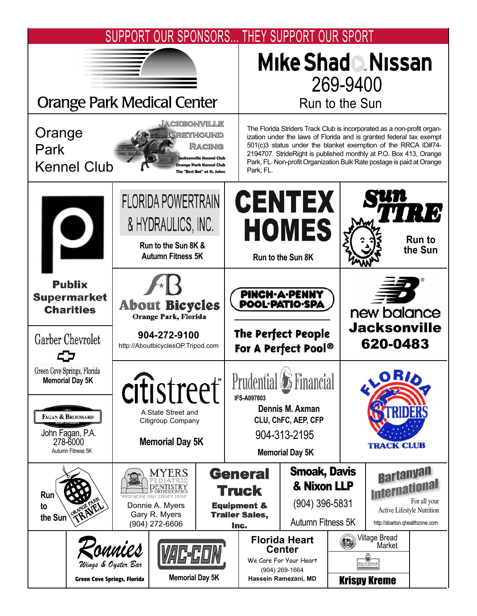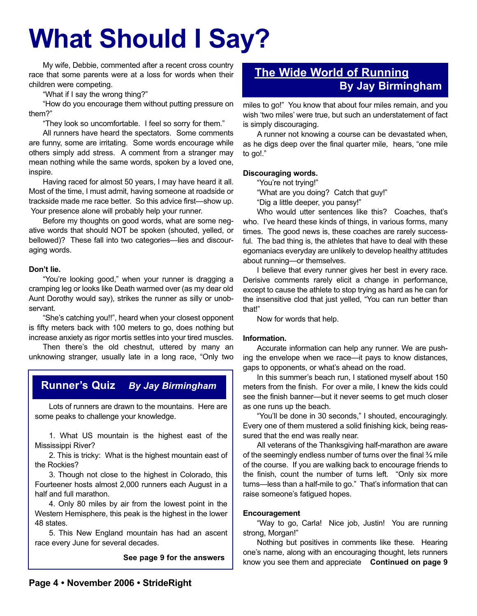# **What Should I Say?**

My wife, Debbie, commented after a recent cross country race that some parents were at a loss for words when their children were competing.

"What if I say the wrong thing?"

"How do you encourage them without putting pressure on them?"

"They look so uncomfortable. I feel so sorry for them."

All runners have heard the spectators. Some comments are funny, some are irritating. Some words encourage while others simply add stress. A comment from a stranger may mean nothing while the same words, spoken by a loved one, inspire.

Having raced for almost 50 years, I may have heard it all. Most of the time, I must admit, having someone at roadside or trackside made me race better. So this advice first—show up. Your presence alone will probably help your runner.

Before my thoughts on good words, what are some negative words that should NOT be spoken (shouted, yelled, or bellowed)? These fall into two categories—lies and discouraging words.

#### **Don't lie.**

"You're looking good," when your runner is dragging a cramping leg or looks like Death warmed over (as my dear old Aunt Dorothy would say), strikes the runner as silly or unobservant.

"She's catching you!!", heard when your closest opponent is fifty meters back with 100 meters to go, does nothing but increase anxiety as rigor mortis settles into your tired muscles.

Then there's the old chestnut, uttered by many an unknowing stranger, usually late in a long race, "Only two

#### **Runner's Quiz** *By Jay Birmingham*

Lots of runners are drawn to the mountains. Here are some peaks to challenge your knowledge.

1. What US mountain is the highest east of the Mississippi River?

2. This is tricky: What is the highest mountain east of the Rockies?

3. Though not close to the highest in Colorado, this Fourteener hosts almost 2,000 runners each August in a half and full marathon.

4. Only 80 miles by air from the lowest point in the Western Hemisphere, this peak is the highest in the lower 48 states.

5. This New England mountain has had an ascent race every June for several decades.

**See page 9 for the answers**

#### **The Wide World of Running By Jay Birmingham**

miles to go!" You know that about four miles remain, and you wish 'two miles' were true, but such an understatement of fact is simply discouraging.

A runner not knowing a course can be devastated when, as he digs deep over the final quarter mile, hears, "one mile to go!."

#### **Discouraging words.**

"You're not trying!"

"What are you doing? Catch that guy!"

"Dig a little deeper, you pansy!"

Who would utter sentences like this? Coaches, that's who. I've heard these kinds of things, in various forms, many times. The good news is, these coaches are rarely successful. The bad thing is, the athletes that have to deal with these egomaniacs everyday are unlikely to develop healthy attitudes about running—or themselves.

I believe that every runner gives her best in every race. Derisive comments rarely elicit a change in performance, except to cause the athlete to stop trying as hard as he can for the insensitive clod that just yelled, "You can run better than that!"

Now for words that help.

#### **Information.**

Accurate information can help any runner. We are pushing the envelope when we race—it pays to know distances, gaps to opponents, or what's ahead on the road.

In this summer's beach run, I stationed myself about 150 meters from the finish. For over a mile, I knew the kids could see the finish banner—but it never seems to get much closer as one runs up the beach.

"You'll be done in 30 seconds," I shouted, encouragingly. Every one of them mustered a solid finishing kick, being reassured that the end was really near.

All veterans of the Thanksgiving half-marathon are aware of the seemingly endless number of turns over the final ¾ mile of the course. If you are walking back to encourage friends to the finish, count the number of turns left. "Only six more turns—less than a half-mile to go." That's information that can raise someone's fatigued hopes.

#### **Encouragement**

"Way to go, Carla! Nice job, Justin! You are running strong, Morgan!"

Nothing but positives in comments like these. Hearing one's name, along with an encouraging thought, lets runners know you see them and appreciate **Continued on page 9**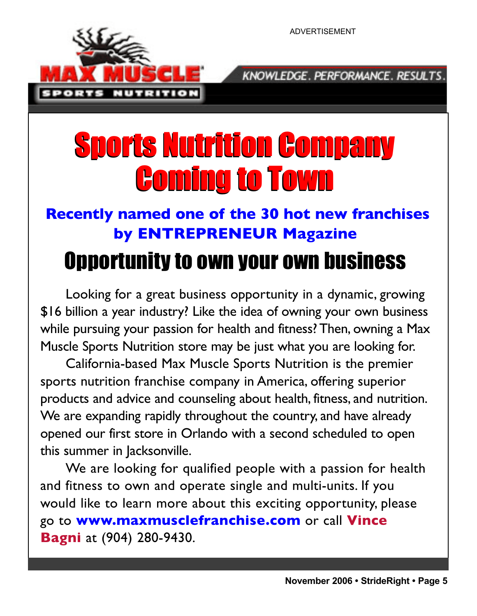NUTRITION

ADVERTISEMENT

KNOWLEDGE. PERFORMANCE. RESULTS.

# Sports Nutrition Company Sports Nutrition Company Coming to Town Coming to Town

### **Recently named one of the 30 hot new franchises by ENTREPRENEUR Magazine**

# Opportunity to own your own business

Looking for a great business opportunity in a dynamic, growing \$16 billion a year industry? Like the idea of owning your own business while pursuing your passion for health and fitness? Then, owning a Max Muscle Sports Nutrition store may be just what you are looking for.

California-based Max Muscle Sports Nutrition is the premier sports nutrition franchise company in America, offering superior products and advice and counseling about health, fitness, and nutrition. We are expanding rapidly throughout the country, and have already opened our first store in Orlando with a second scheduled to open this summer in Jacksonville.

We are looking for qualified people with a passion for health and fitness to own and operate single and multi-units. If you would like to learn more about this exciting opportunity, please go to **www.maxmusclefranchise.com** or call **Vince Bagni** at (904) 280-9430.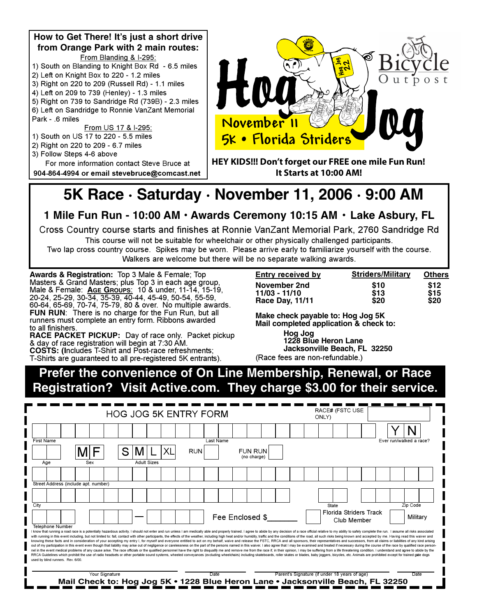

### **5K Race · Saturday · November 11, 2006 · 9:00 AM**

**1 Mile Fun Run - 10:00 AM · Awards Ceremony 10:15 AM · Lake Asbury, FL** 

Cross Country course starts and finishes at Ronnie VanZant Memorial Park, 2760 Sandridge Rd This course will not be suitable for wheelchair or other physically challenged participants.

Two lap cross country course. Spikes may be worn. Please arrive early to familiarize yourself with the course. Walkers are welcome but there will be no separate walking awards.

**Awards & Registration:** Top 3 Male & Female; Top<br>Masters & Grand Masters; plus Top 3 in each age group, Male & Female: **AGE GROUPS:** 10 & under, 11-14, 15-19,<br>20-24, 25-29, 30-34, 35-39, 40-44, 45-49, 50-54, 55-59,<br>60-64, 65-69, 70-74, 75-79, 80 & over. No multiple awards.<br>**FUN RUN**: There is no charge for the Fun Run, but a runners must complete an entry form. Ribbons awarded<br>to all finishers.

**RACE PACKET PICKUP:** Day of race only. Packet pickup & day of race registration will begin at 7:30 AM. **COSTS: (Includes T-Shirt and Post-race refreshments;** T-Shirts are guaranteed to all pre-registered 5K entrants).

| <b>Entry received by</b> | <b>Striders/Military</b> | <b>Others</b> |
|--------------------------|--------------------------|---------------|
| November 2nd             | \$10                     | \$12          |
| 11/03 - 11/10            | \$13                     | \$15          |
| <b>Race Day, 11/11</b>   | \$20                     | \$20          |

**Make check payable to: Hog Jog 5K Mail completed application & check to:** 

**Hog** Jog 1228 Blue Heron Lane **Jacksonville Beach, FL 32250** (Race fees are non-refundable.)

**Prefer the convenience of On Line Membership, Renewal, or Race Registration? Visit Active.com. They charge \$3.00 for their service.** 

| <b>HOG JOG 5K ENTRY FORM</b>                                                                                                                                                                                                                                                                                                                                                                                                                                                                                                                                                                                                                                                                                                                                                                                                                                                                                                                                                                                                                                                                                                                                                                                                                                                                                                                                                                                                                                             |                                      |                                                                                 |  |                |  |  |  |                    |    |            | ONLY)     |                 | RACE# (FSTC USE               |  |  |                                               |  |       |  |                                              |  |                         |  |
|--------------------------------------------------------------------------------------------------------------------------------------------------------------------------------------------------------------------------------------------------------------------------------------------------------------------------------------------------------------------------------------------------------------------------------------------------------------------------------------------------------------------------------------------------------------------------------------------------------------------------------------------------------------------------------------------------------------------------------------------------------------------------------------------------------------------------------------------------------------------------------------------------------------------------------------------------------------------------------------------------------------------------------------------------------------------------------------------------------------------------------------------------------------------------------------------------------------------------------------------------------------------------------------------------------------------------------------------------------------------------------------------------------------------------------------------------------------------------|--------------------------------------|---------------------------------------------------------------------------------|--|----------------|--|--|--|--------------------|----|------------|-----------|-----------------|-------------------------------|--|--|-----------------------------------------------|--|-------|--|----------------------------------------------|--|-------------------------|--|
|                                                                                                                                                                                                                                                                                                                                                                                                                                                                                                                                                                                                                                                                                                                                                                                                                                                                                                                                                                                                                                                                                                                                                                                                                                                                                                                                                                                                                                                                          |                                      |                                                                                 |  |                |  |  |  |                    |    |            |           |                 |                               |  |  |                                               |  |       |  |                                              |  |                         |  |
| <b>First Name</b>                                                                                                                                                                                                                                                                                                                                                                                                                                                                                                                                                                                                                                                                                                                                                                                                                                                                                                                                                                                                                                                                                                                                                                                                                                                                                                                                                                                                                                                        |                                      |                                                                                 |  |                |  |  |  |                    |    |            | Last Name |                 |                               |  |  |                                               |  |       |  |                                              |  | Ever run/walked a race? |  |
|                                                                                                                                                                                                                                                                                                                                                                                                                                                                                                                                                                                                                                                                                                                                                                                                                                                                                                                                                                                                                                                                                                                                                                                                                                                                                                                                                                                                                                                                          |                                      |                                                                                 |  |                |  |  |  |                    | XL | <b>RUN</b> |           |                 | <b>FUN RUN</b><br>(no charge) |  |  |                                               |  |       |  |                                              |  |                         |  |
| Age                                                                                                                                                                                                                                                                                                                                                                                                                                                                                                                                                                                                                                                                                                                                                                                                                                                                                                                                                                                                                                                                                                                                                                                                                                                                                                                                                                                                                                                                      |                                      |                                                                                 |  | Sex            |  |  |  | <b>Adult Sizes</b> |    |            |           |                 |                               |  |  |                                               |  |       |  |                                              |  |                         |  |
|                                                                                                                                                                                                                                                                                                                                                                                                                                                                                                                                                                                                                                                                                                                                                                                                                                                                                                                                                                                                                                                                                                                                                                                                                                                                                                                                                                                                                                                                          |                                      |                                                                                 |  |                |  |  |  |                    |    |            |           |                 |                               |  |  |                                               |  |       |  |                                              |  |                         |  |
|                                                                                                                                                                                                                                                                                                                                                                                                                                                                                                                                                                                                                                                                                                                                                                                                                                                                                                                                                                                                                                                                                                                                                                                                                                                                                                                                                                                                                                                                          | Street Address (include apt. number) |                                                                                 |  |                |  |  |  |                    |    |            |           |                 |                               |  |  |                                               |  |       |  |                                              |  |                         |  |
|                                                                                                                                                                                                                                                                                                                                                                                                                                                                                                                                                                                                                                                                                                                                                                                                                                                                                                                                                                                                                                                                                                                                                                                                                                                                                                                                                                                                                                                                          |                                      |                                                                                 |  |                |  |  |  |                    |    |            |           |                 |                               |  |  |                                               |  |       |  |                                              |  |                         |  |
| City                                                                                                                                                                                                                                                                                                                                                                                                                                                                                                                                                                                                                                                                                                                                                                                                                                                                                                                                                                                                                                                                                                                                                                                                                                                                                                                                                                                                                                                                     |                                      |                                                                                 |  |                |  |  |  |                    |    |            |           |                 |                               |  |  |                                               |  | State |  |                                              |  | Zip Code                |  |
|                                                                                                                                                                                                                                                                                                                                                                                                                                                                                                                                                                                                                                                                                                                                                                                                                                                                                                                                                                                                                                                                                                                                                                                                                                                                                                                                                                                                                                                                          |                                      |                                                                                 |  |                |  |  |  |                    |    |            |           | Fee Enclosed \$ |                               |  |  |                                               |  |       |  | <b>Florida Striders Track</b><br>Club Member |  | Military                |  |
| <b>Telephone Number</b><br>I know that running a road race is a potentially hazardous activity. I should not enter and run unless I am medically able and properly trained. I agree to abide by any decision of a race official relative to my ability to<br>with running in this event including, but not limited to: fall, contact with other participants, the effects of the weather, including high heat and/or humidity, traffic and the conditions of the road, all such risks being<br>knowing these facts and in consideration of your accepting my entry I, for myself and everyone entitled to act on my behalf, waive and release the FSTC, RRCA and all sponsors, their representatives and successors, from all<br>out of my participation in this event even though that liability may arise out of negligence or carelessness on the part of the persons named in this waiver. I also agree that I may be examined and treated if necessary dur<br>nel in the event medical problems of any cause arise. The race officials or the qualified personnel have the right to disqualify me and remove me from the race if, in their opinion, I may be suffering from a life threateni<br>RRCA Guidelines which prohibit the use of radio headsets or other portable sound systems, wheeled conveyances (excluding wheelchairs) including skateboards, roller skates or blades, baby joggers, bicycles, etc. Animals are<br>used by blind runners. Rev. 6/00. |                                      |                                                                                 |  |                |  |  |  |                    |    |            |           |                 |                               |  |  |                                               |  |       |  |                                              |  |                         |  |
|                                                                                                                                                                                                                                                                                                                                                                                                                                                                                                                                                                                                                                                                                                                                                                                                                                                                                                                                                                                                                                                                                                                                                                                                                                                                                                                                                                                                                                                                          |                                      | Mail Check to: Hog Jog 5K • 1228 Blue Heron Lane • Jacksonville Beach, FL 32250 |  | Your Signature |  |  |  |                    |    |            | Date      |                 |                               |  |  | Parent's Signature (if under 18 years of age) |  |       |  |                                              |  | Date                    |  |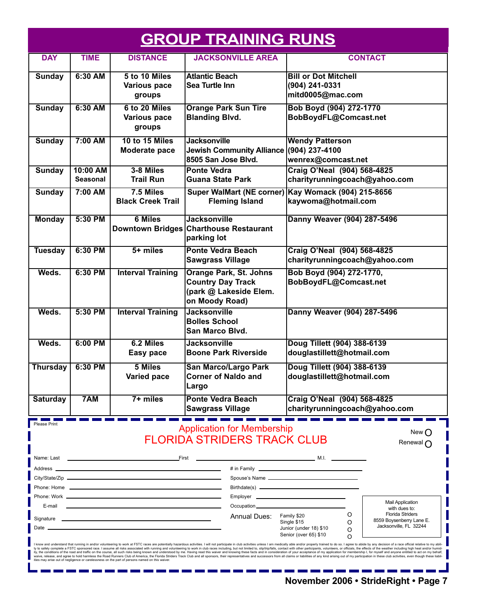|                 |                             |                                                                                                                                                                                                                                | <b>GROUP TRAINING RUNS</b>                                                                            |                                                                                                                                                                                                                                                                                                                                                                                                                                                                                                                                                                                                                                                                                                                                                                                                                                                                                                                                                                             |  |  |  |  |
|-----------------|-----------------------------|--------------------------------------------------------------------------------------------------------------------------------------------------------------------------------------------------------------------------------|-------------------------------------------------------------------------------------------------------|-----------------------------------------------------------------------------------------------------------------------------------------------------------------------------------------------------------------------------------------------------------------------------------------------------------------------------------------------------------------------------------------------------------------------------------------------------------------------------------------------------------------------------------------------------------------------------------------------------------------------------------------------------------------------------------------------------------------------------------------------------------------------------------------------------------------------------------------------------------------------------------------------------------------------------------------------------------------------------|--|--|--|--|
| <b>DAY</b>      | <b>TIME</b>                 | <b>DISTANCE</b>                                                                                                                                                                                                                | <b>JACKSONVILLE AREA</b>                                                                              | <b>CONTACT</b>                                                                                                                                                                                                                                                                                                                                                                                                                                                                                                                                                                                                                                                                                                                                                                                                                                                                                                                                                              |  |  |  |  |
| <b>Sunday</b>   | 6:30 AM                     | 5 to 10 Miles<br>Various pace<br>groups                                                                                                                                                                                        | <b>Atlantic Beach</b><br><b>Sea Turtle Inn</b>                                                        | <b>Bill or Dot Mitchell</b><br>(904) 241-0331<br>mitd0005@mac.com                                                                                                                                                                                                                                                                                                                                                                                                                                                                                                                                                                                                                                                                                                                                                                                                                                                                                                           |  |  |  |  |
| <b>Sunday</b>   | 6:30 AM                     | 6 to 20 Miles<br><b>Various pace</b><br>groups                                                                                                                                                                                 | <b>Orange Park Sun Tire</b><br><b>Blanding Blvd.</b>                                                  | Bob Boyd (904) 272-1770<br>BobBoydFL@Comcast.net                                                                                                                                                                                                                                                                                                                                                                                                                                                                                                                                                                                                                                                                                                                                                                                                                                                                                                                            |  |  |  |  |
| <b>Sunday</b>   | 7:00 AM                     | 10 to 15 Miles<br>Moderate pace                                                                                                                                                                                                | <b>Jacksonville</b><br>Jewish Community Alliance (904) 237-4100<br>8505 San Jose Blvd.                | <b>Wendy Patterson</b><br>wenrex@comcast.net                                                                                                                                                                                                                                                                                                                                                                                                                                                                                                                                                                                                                                                                                                                                                                                                                                                                                                                                |  |  |  |  |
| <b>Sunday</b>   | 10:00 AM<br><b>Seasonal</b> | 3-8 Miles<br><b>Trail Run</b>                                                                                                                                                                                                  | <b>Ponte Vedra</b><br><b>Guana State Park</b>                                                         | Craig O'Neal (904) 568-4825<br>charityrunningcoach@yahoo.com                                                                                                                                                                                                                                                                                                                                                                                                                                                                                                                                                                                                                                                                                                                                                                                                                                                                                                                |  |  |  |  |
| <b>Sunday</b>   | 7:00 AM                     | 7.5 Miles<br><b>Black Creek Trail</b>                                                                                                                                                                                          | <b>Fleming Island</b>                                                                                 | Super WalMart (NE corner) Kay Womack (904) 215-8656<br>kaywoma@hotmail.com                                                                                                                                                                                                                                                                                                                                                                                                                                                                                                                                                                                                                                                                                                                                                                                                                                                                                                  |  |  |  |  |
| <b>Monday</b>   | 5:30 PM                     | <b>6 Miles</b>                                                                                                                                                                                                                 | <b>Jacksonville</b><br>Downtown Bridges Charthouse Restaurant<br>parking lot                          | Danny Weaver (904) 287-5496                                                                                                                                                                                                                                                                                                                                                                                                                                                                                                                                                                                                                                                                                                                                                                                                                                                                                                                                                 |  |  |  |  |
| <b>Tuesday</b>  | 6:30 PM                     | $5+$ miles                                                                                                                                                                                                                     | <b>Ponte Vedra Beach</b><br><b>Sawgrass Village</b>                                                   | Craig O'Neal (904) 568-4825<br>charityrunningcoach@yahoo.com                                                                                                                                                                                                                                                                                                                                                                                                                                                                                                                                                                                                                                                                                                                                                                                                                                                                                                                |  |  |  |  |
| Weds.           | 6:30 PM                     | <b>Interval Training</b>                                                                                                                                                                                                       | <b>Orange Park, St. Johns</b><br><b>Country Day Track</b><br>(park @ Lakeside Elem.<br>on Moody Road) | Bob Boyd (904) 272-1770,<br>BobBoydFL@Comcast.net                                                                                                                                                                                                                                                                                                                                                                                                                                                                                                                                                                                                                                                                                                                                                                                                                                                                                                                           |  |  |  |  |
| Weds.           | 5:30 PM                     | <b>Interval Training</b>                                                                                                                                                                                                       | <b>Jacksonville</b><br><b>Bolles School</b><br>San Marco Blvd.                                        | Danny Weaver (904) 287-5496                                                                                                                                                                                                                                                                                                                                                                                                                                                                                                                                                                                                                                                                                                                                                                                                                                                                                                                                                 |  |  |  |  |
| Weds.           | 6:00 PM                     | 6.2 Miles<br><b>Easy pace</b>                                                                                                                                                                                                  | <b>Jacksonville</b><br><b>Boone Park Riverside</b>                                                    | Doug Tillett (904) 388-6139<br>douglastillett@hotmail.com                                                                                                                                                                                                                                                                                                                                                                                                                                                                                                                                                                                                                                                                                                                                                                                                                                                                                                                   |  |  |  |  |
| <b>Thursday</b> | 6:30 PM                     | <b>5 Miles</b><br>Varied pace                                                                                                                                                                                                  | <b>San Marco/Largo Park</b><br><b>Corner of Naldo and</b><br> Largo                                   | Doug Tillett (904) 388-6139<br> douglastillett@hotmail.com                                                                                                                                                                                                                                                                                                                                                                                                                                                                                                                                                                                                                                                                                                                                                                                                                                                                                                                  |  |  |  |  |
| <b>Saturday</b> | 7AM                         | $7+$ miles                                                                                                                                                                                                                     | Ponte Vedra Beach<br><b>Sawgrass Village</b>                                                          | Craig O'Neal (904) 568-4825<br>charityrunningcoach@yahoo.com                                                                                                                                                                                                                                                                                                                                                                                                                                                                                                                                                                                                                                                                                                                                                                                                                                                                                                                |  |  |  |  |
| Please Print    |                             |                                                                                                                                                                                                                                | <b>Application for Membership</b><br><b>FLORIDA STRIDERS TRACK CLUB</b>                               | New <sub>O</sub><br>Renewal $\bigcap$<br><u>M.I. And the contract of the contract of M.I. And the contract of the contract of the contract of the contract of the contract of the contract of the contract of the contract of the contract of the contract of the contrac</u>                                                                                                                                                                                                                                                                                                                                                                                                                                                                                                                                                                                                                                                                                               |  |  |  |  |
| Address __      |                             | the control of the control of the control of the control of the control of the control of                                                                                                                                      |                                                                                                       |                                                                                                                                                                                                                                                                                                                                                                                                                                                                                                                                                                                                                                                                                                                                                                                                                                                                                                                                                                             |  |  |  |  |
|                 |                             |                                                                                                                                                                                                                                |                                                                                                       |                                                                                                                                                                                                                                                                                                                                                                                                                                                                                                                                                                                                                                                                                                                                                                                                                                                                                                                                                                             |  |  |  |  |
| E-mail          |                             |                                                                                                                                                                                                                                | Occupation <sub>_____________________</sub>                                                           | <b>Mail Application</b>                                                                                                                                                                                                                                                                                                                                                                                                                                                                                                                                                                                                                                                                                                                                                                                                                                                                                                                                                     |  |  |  |  |
| Date            |                             | Signature experience and the state of the state of the state of the state of the state of the state of the state of the state of the state of the state of the state of the state of the state of the state of the state of th | Annual Dues:                                                                                          | with dues to:<br><b>Florida Striders</b><br>O<br>Family \$20<br>8559 Boysenberry Lane E.<br>Single \$15<br>O<br>Jacksonville, FL 32244<br>Junior (under 18) \$10<br>O<br>Senior (over 65) \$10<br>O                                                                                                                                                                                                                                                                                                                                                                                                                                                                                                                                                                                                                                                                                                                                                                         |  |  |  |  |
|                 |                             | ities may arise out of negligence or carelessness on the part of persons named on this waiver.                                                                                                                                 |                                                                                                       | I know and understand that running in and/or volunteering to work at FSTC races are potentially hazardous activities. I will not participate in club activities unless I am medically able and/or properly trained to do so. I<br>ty to safely complete a FSTC sponsored race. I assume all risks associated with running and volunteering to work in club races including, but not limited to, slip/trip/falls, contact with other participants, volunteers, or<br>ity, the conditions of the road and traffic on the course, all such risks being known and understood by me. Having read this waiver and knowing these facts and in consideration of your acceptance of my application for memb<br>waive, release, and agree to hold harmless the Road Runners Club of America, the Florida Striders Track Club and all sponsors, their representatives and successors from all claims or liabilities of any kind arising out of<br>November 2006 · StrideRight · Page 7 |  |  |  |  |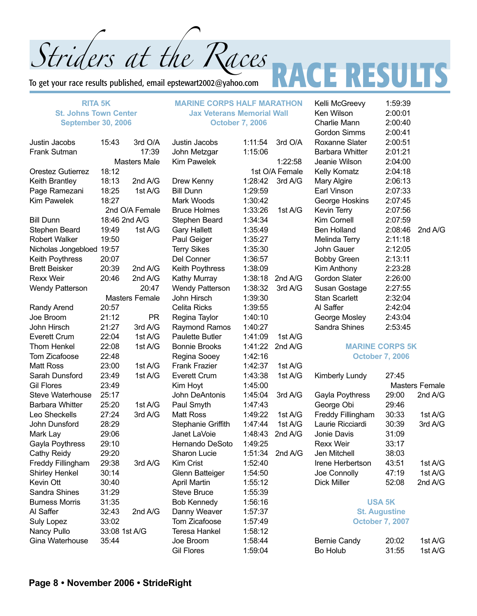Striders at the Races<br>To get your race results published, email epstewart2002@yahoo.com<br> To get your race results published, email epstewart2002@yahoo.com

#### **RITA 5K St. Johns Town Center September 30, 2006**

| Justin Jacobs            | 15:43         | 3rd O/A             |
|--------------------------|---------------|---------------------|
| <b>Frank Sutman</b>      |               | 17:39               |
|                          |               | <b>Masters Male</b> |
| <b>Orestez Gutierrez</b> | 18:12         |                     |
| Keith Brantley           | 18:13         | 2nd A/G             |
| Page Ramezani            | 18:25         | 1st A/G             |
| <b>Kim Pawelek</b>       | 18:27         |                     |
|                          |               | 2nd O/A Female      |
| <b>Bill Dunn</b>         |               | 18:46 2nd A/G       |
| Stephen Beard            | 19:49         | 1st A/G             |
| <b>Robert Walker</b>     | 19:50         |                     |
| Nicholas Jongebloed      | 19:57         |                     |
| Keith Poythress          | 20:07         |                     |
| <b>Brett Beisker</b>     | 20:39         | 2nd A/G             |
| <b>Rexx Weir</b>         | 20:46         | 2nd A/G             |
| <b>Wendy Patterson</b>   |               | 20:47               |
|                          |               | Masters Female      |
| Randy Arend              | 20:57         |                     |
| Joe Broom                | 21:12         | PR                  |
| John Hirsch              | 21:27         | 3rd A/G             |
| <b>Everett Crum</b>      | 22:04         | 1st A/G             |
| Thom Henkel              | 22:08         | 1st A/G             |
| Tom Zicafoose            | 22:48         |                     |
| <b>Matt Ross</b>         | 23:00         | 1st A/G             |
| Sarah Dunsford           | 23:49         | 1st A/G             |
| <b>Gil Flores</b>        | 23:49         |                     |
| <b>Steve Waterhouse</b>  | 25:17         |                     |
| <b>Barbara Whitter</b>   | 25:20         | 1st A/G             |
| Leo Sheckells            | 27:24         | 3rd A/G             |
| John Dunsford            | 28:29         |                     |
| Mark Lay                 | 29:06         |                     |
| Gayla Poythress          | 29:10         |                     |
| <b>Cathy Reidy</b>       | 29:20         |                     |
| <b>Freddy Fillingham</b> | 29:38         | 3rd A/G             |
| <b>Shirley Henkel</b>    | 30:14         |                     |
| Kevin Ott                | 30:40         |                     |
| Sandra Shines            | 31:29         |                     |
| <b>Burness Morris</b>    | 31:35         |                     |
| Al Saffer                | 32:43         | 2nd A/G             |
| <b>Suly Lopez</b>        | 33:02         |                     |
| Nancy Pullo              | 33:08 1st A/G |                     |
| Gina Waterhouse          | 35:44         |                     |

**MARINE CORPS HALF MARATHON Jax Veterans Memorial Wall October 7, 2006**

| Justin Jacobs          | 1:11:54 | 3rd O/A        |
|------------------------|---------|----------------|
| John Metzgar           | 1:15:06 |                |
| <b>Kim Pawelek</b>     |         | 1:22:58        |
|                        |         | 1st O/A Female |
| Drew Kenny             | 1:28:42 | 3rd A/G        |
| <b>Bill Dunn</b>       | 1:29:59 |                |
| Mark Woods             | 1:30:42 |                |
| <b>Bruce Holmes</b>    | 1:33:26 | 1st A/G        |
| Stephen Beard          | 1:34:34 |                |
| <b>Gary Hallett</b>    | 1:35:49 |                |
| Paul Geiger            | 1:35:27 |                |
| <b>Terry Sikes</b>     | 1:35:30 |                |
| Del Conner             | 1:36:57 |                |
| Keith Poythress        | 1:38:09 |                |
| Kathy Murray           | 1:38:18 | 2nd A/G        |
| <b>Wendy Patterson</b> | 1:38:32 | 3rd A/G        |
| <b>John Hirsch</b>     | 1:39:30 |                |
| <b>Celita Ricks</b>    | 1:39:55 |                |
| Regina Taylor          | 1:40:10 |                |
| Raymond Ramos          | 1:40:27 |                |
| <b>Paulette Butler</b> | 1:41:09 | 1st A/G        |
| <b>Bonnie Brooks</b>   | 1:41:22 | 2nd A/G        |
| Regina Sooey           | 1:42:16 |                |
| <b>Frank Frazier</b>   | 1:42:37 | 1st A/G        |
| Everett Crum           | 1:43:38 | 1st A/G        |
| Kim Hoyt               | 1:45:00 |                |
| John DeAntonis         | 1:45:04 | 3rd A/G        |
| Paul Smyth             | 1:47:43 |                |
| <b>Matt Ross</b>       | 1:49:22 | 1st A/G        |
| Stephanie Griffith     | 1:47:44 | 1st A/G        |
| Janet LaVoie           | 1:48:43 | 2nd A/G        |
| Hernando DeSoto        | 1:49:25 |                |
| <b>Sharon Lucie</b>    | 1:51:34 | 2nd A/G        |
| Kim Crist              | 1:52:40 |                |
| Glenn Batteiger        | 1:54:50 |                |
| <b>April Martin</b>    | 1:55:12 |                |
| <b>Steve Bruce</b>     | 1:55:39 |                |
| <b>Bob Kennedy</b>     | 1:56:16 |                |
| Danny Weaver           | 1:57:37 |                |
| Tom Zicafoose          | 1:57:49 |                |
| <b>Teresa Hankel</b>   | 1:58:12 |                |
| Joe Broom              | 1:58:44 |                |
| <b>Gil Flores</b>      | 1:59:04 |                |

1st O/A Female  $1:40:27$ 

Kelli McGreevy 1:59:39 Ken Wilson 2:00:01 Charlie Mann 2:00:40 Gordon Simms 2:00:41 Roxanne Slater 2:00:51 Barbara Whitter 2:01:21 Jeanie Wilson 2:04:00 Kelly Komatz 2:04:18 Mary Algire 2:06:13 Earl Vinson 2:07:33 George Hoskins 2:07:45 Kevin Terry 2:07:56 Kim Cornell 2:07:59 Ben Holland 2:08:46 2nd A/G Melinda Terry 2:11:18 John Gauer 2:12:05 Bobby Green 2:13:11 Kim Anthony 2:23:28 Gordon Slater 2:26:00 Susan Gostage 2:27:55 Stan Scarlett 2:32:04 Al Saffer 2:42:04 George Mosley 2:43:04 Sandra Shines 2:53:45 **MARINE CORPS 5K October 7, 2006** Kimberly Lundy 27:45 Masters Female Gayla Poythress 29:00 2nd A/G George Obi 29:46 Freddy Fillingham 30:33 1st A/G Laurie Ricciardi 30:39 3rd A/G Jonie Davis 31:09 Rexx Weir 33:17 Jen Mitchell 38:03 Irene Herbertson 43:51 1st A/G Joe Connolly 47:19 1st A/G

#### **USA 5K**

Dick Miller 52:08 2nd A/G

**St. Augustine October 7, 2007**

| <b>Bernie Candy</b> | 20:02 | 1st A/G |
|---------------------|-------|---------|
| Bo Holub            | 31:55 | 1st A/G |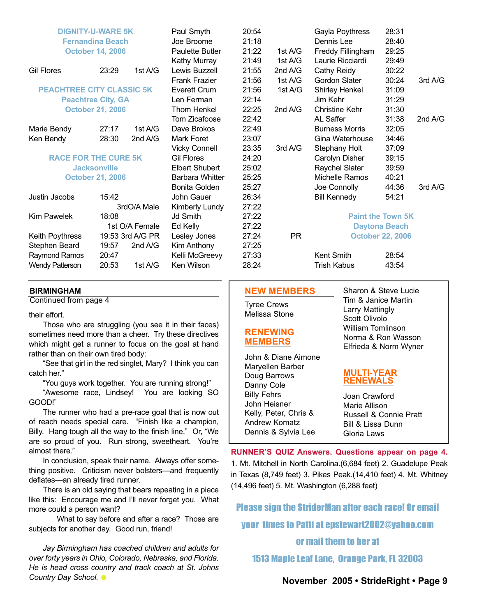| <b>DIGNITY-U-WARE 5K</b><br><b>Fernandina Beach</b><br><b>October 14, 2006</b> |           | Paul Smyth<br>Joe Broome<br><b>Paulette Butler</b>                                                                                                                             | 20:54<br>21:18<br>21:22                               | 1st A/G                 | Gayla Poythress<br>Dennis Lee<br>Freddy Fillingham | 28:31<br>28:40<br>29:25                               |                                                                                                        |
|--------------------------------------------------------------------------------|-----------|--------------------------------------------------------------------------------------------------------------------------------------------------------------------------------|-------------------------------------------------------|-------------------------|----------------------------------------------------|-------------------------------------------------------|--------------------------------------------------------------------------------------------------------|
|                                                                                |           | Kathy Murray                                                                                                                                                                   | 21:49                                                 | 1st A/G                 | Laurie Ricciardi                                   | 29:49                                                 |                                                                                                        |
|                                                                                |           |                                                                                                                                                                                |                                                       |                         |                                                    |                                                       |                                                                                                        |
|                                                                                |           |                                                                                                                                                                                |                                                       |                         |                                                    |                                                       | 3rd A/G                                                                                                |
| <b>PEACHTREE CITY CLASSIC 5K</b>                                               |           |                                                                                                                                                                                |                                                       |                         |                                                    |                                                       |                                                                                                        |
|                                                                                |           | Len Ferman                                                                                                                                                                     | 22:14                                                 |                         | Jim Kehr                                           | 31:29                                                 |                                                                                                        |
|                                                                                |           | Thom Henkel                                                                                                                                                                    | 22:25                                                 | 2nd $A/G$               | <b>Christine Kehr</b>                              | 31:30                                                 |                                                                                                        |
|                                                                                |           | Tom Zicafoose                                                                                                                                                                  | 22:42                                                 |                         | <b>AL Saffer</b>                                   | 31:38                                                 | 2nd A/G                                                                                                |
| 27:17                                                                          | 1st A/G   | Dave Brokos                                                                                                                                                                    | 22:49                                                 |                         | <b>Burness Morris</b>                              | 32:05                                                 |                                                                                                        |
| 28:30                                                                          | 2nd $A/G$ | <b>Mark Foret</b>                                                                                                                                                              | 23:07                                                 |                         | Gina Waterhouse                                    | 34:46                                                 |                                                                                                        |
|                                                                                |           | <b>Vicky Connell</b>                                                                                                                                                           | 23:35                                                 | 3rd A/G                 | Stephany Holt                                      | 37:09                                                 |                                                                                                        |
|                                                                                |           | <b>Gil Flores</b>                                                                                                                                                              | 24:20                                                 |                         | Carolyn Disher                                     | 39:15                                                 |                                                                                                        |
| <b>Jacksonville</b>                                                            |           | <b>Elbert Shubert</b>                                                                                                                                                          | 25:02                                                 |                         | Raychel Slater                                     | 39:59                                                 |                                                                                                        |
|                                                                                |           | <b>Barbara Whitter</b>                                                                                                                                                         | 25:25                                                 |                         | Michelle Ramos                                     | 40:21                                                 |                                                                                                        |
|                                                                                |           | Bonita Golden                                                                                                                                                                  | 25:27                                                 |                         | Joe Connolly                                       | 44:36                                                 | 3rd A/G                                                                                                |
| 15:42                                                                          |           | John Gauer                                                                                                                                                                     | 26:34                                                 |                         | <b>Bill Kennedy</b>                                | 54:21                                                 |                                                                                                        |
|                                                                                |           | Kimberly Lundy                                                                                                                                                                 | 27:22                                                 |                         |                                                    |                                                       |                                                                                                        |
| 18:08                                                                          |           | Jd Smith                                                                                                                                                                       | 27:22                                                 |                         |                                                    |                                                       |                                                                                                        |
|                                                                                |           | Ed Kelly                                                                                                                                                                       | 27:22                                                 |                         |                                                    |                                                       |                                                                                                        |
|                                                                                |           | Lesley Jones                                                                                                                                                                   | 27:24                                                 | <b>PR</b>               |                                                    |                                                       |                                                                                                        |
| 19:57                                                                          | 2nd $A/G$ | Kim Anthony                                                                                                                                                                    | 27:25                                                 |                         |                                                    |                                                       |                                                                                                        |
| 20:47                                                                          |           | Kelli McGreevy                                                                                                                                                                 | 27:33                                                 |                         | Kent Smith                                         | 28:54                                                 |                                                                                                        |
| 20:53                                                                          | 1st A/G   | Ken Wilson                                                                                                                                                                     | 28:24                                                 |                         | <b>Trish Kabus</b>                                 | 43:54                                                 |                                                                                                        |
|                                                                                | 23:29     | 1st A/G<br><b>Peachtree City, GA</b><br><b>October 21, 2006</b><br><b>RACE FOR THE CURE 5K</b><br><b>October 21, 2006</b><br>3rdO/A Male<br>1st O/A Female<br>19:53 3rd A/G PR | Lewis Buzzell<br><b>Frank Frazier</b><br>Everett Crum | 21:55<br>21:56<br>21:56 | 2nd A/G<br>1st A/G<br>1st A/G                      | Cathy Reidy<br>Gordon Slater<br><b>Shirley Henkel</b> | 30:22<br>30:24<br>31:09<br><b>Paint the Town 5K</b><br><b>Daytona Beach</b><br><b>October 22, 2006</b> |

#### **BIRMINGHAM**

Continued from page 4

their effort.

Those who are struggling (you see it in their faces) sometimes need more than a cheer. Try these directives which might get a runner to focus on the goal at hand rather than on their own tired body:

"See that girl in the red singlet, Mary? I think you can catch her."

"You guys work together. You are running strong!"

"Awesome race, Lindsey! You are looking SO GOOD!"

The runner who had a pre-race goal that is now out of reach needs special care. "Finish like a champion, Billy. Hang tough all the way to the finish line." Or, "We are so proud of you. Run strong, sweetheart. You're almost there."

In conclusion, speak their name. Always offer something positive. Criticism never bolsters—and frequently deflates—an already tired runner.

There is an old saying that bears repeating in a piece like this: Encourage me and I'll never forget you. What more could a person want?

What to say before and after a race? Those are subjects for another day. Good run, friend!

*Jay Birmingham has coached children and adults for over forty years in Ohio, Colorado, Nebraska, and Florida. He is head cross country and track coach at St. Johns Country Day School.*

#### **NEW MEMBERS**

Tyree Crews Melissa Stone

#### **RENEWING MEMBERS**

John & Diane Aimone Maryellen Barber Doug Barrows Danny Cole Billy Fehrs John Heisner Kelly, Peter, Chris & Andrew Komatz Dennis & Sylvia Lee

Sharon & Steve Lucie Tim & Janice Martin Larry Mattingly Scott Olivolo William Tomlinson Norma & Ron Wasson Elfrieda & Norm Wyner

#### **MULTI-YEAR RENEWALS**

Joan Crawford Marie Allison Russell & Connie Pratt Bill & Lissa Dunn Gloria Laws

**RUNNER'S QUIZ Answers. Questions appear on page 4.** 1. Mt. Mitchell in North Carolina.(6,684 feet) 2. Guadelupe Peak in Texas (8,749 feet) 3. Pikes Peak.(14,410 feet) 4. Mt. Whitney (14,496 feet) 5. Mt. Washington (6,288 feet)

Please sign the StriderMan after each race! Or email your times to Patti at epstewart2002@yahoo.com

#### or mail them to her at

1513 Maple Leaf Lane, Orange Park, FL 32003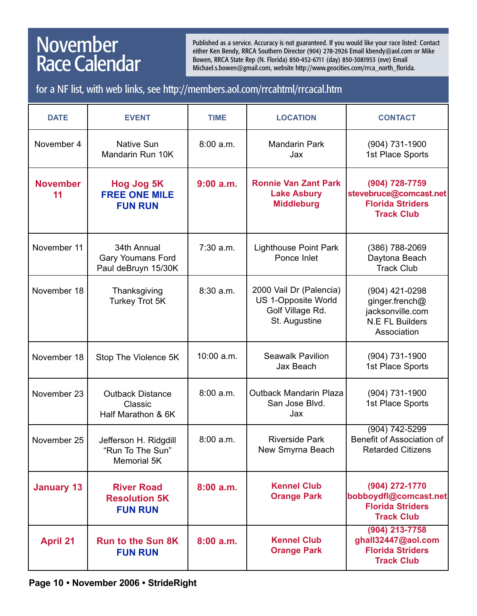## **November** Race Calendar

Published as a service. Accuracy is not guaranteed. If you would like your race listed: Contact either Ken Bendy, RRCA Southern Director (904) 278-2926 Email kbendy@aol.com or Mike Bowen, RRCA State Rep (N. Florida) 850-452-6711 (day) 850-3081953 (eve) Email Michael.s.bowen@gmail.com, website http://www.geocities.com/rrca\_north\_florida.

for a NF list, with web links, see http://members.aol.com/rrcahtml/rrcacal.htm

| <b>DATE</b>           | <b>EVENT</b>                                                    | <b>TIME</b> | <b>LOCATION</b>                                                                     | <b>CONTACT</b>                                                                                |
|-----------------------|-----------------------------------------------------------------|-------------|-------------------------------------------------------------------------------------|-----------------------------------------------------------------------------------------------|
| November 4            | <b>Native Sun</b><br>Mandarin Run 10K                           | 8:00 a.m.   | <b>Mandarin Park</b><br>Jax                                                         | (904) 731-1900<br>1st Place Sports                                                            |
| <b>November</b><br>11 | Hog Jog 5K<br><b>FREE ONE MILE</b><br><b>FUN RUN</b>            | $9:00$ a.m. | <b>Ronnie Van Zant Park</b><br><b>Lake Asbury</b><br><b>Middleburg</b>              | (904) 728-7759<br>stevebruce@comcast.net<br><b>Florida Striders</b><br><b>Track Club</b>      |
| November 11           | 34th Annual<br><b>Gary Youmans Ford</b><br>Paul deBruyn 15/30K  | 7:30 a.m.   | <b>Lighthouse Point Park</b><br>Ponce Inlet                                         | (386) 788-2069<br>Daytona Beach<br><b>Track Club</b>                                          |
| November 18           | Thanksgiving<br>Turkey Trot 5K                                  | 8:30 a.m.   | 2000 Vail Dr (Palencia)<br>US 1-Opposite World<br>Golf Village Rd.<br>St. Augustine | (904) 421-0298<br>ginger.french@<br>jacksonville.com<br><b>N.E FL Builders</b><br>Association |
| November 18           | Stop The Violence 5K                                            | 10:00 a.m.  | <b>Seawalk Pavilion</b><br>Jax Beach                                                | (904) 731-1900<br>1st Place Sports                                                            |
| November 23           | <b>Outback Distance</b><br>Classic<br>Half Marathon & 6K        | 8:00 a.m.   | <b>Outback Mandarin Plaza</b><br>San Jose Blvd.<br>Jax                              | (904) 731-1900<br>1st Place Sports                                                            |
| November 25           | Jefferson H. Ridgdill<br>"Run To The Sun"<br><b>Memorial 5K</b> | 8:00 a.m.   | <b>Riverside Park</b><br>New Smyrna Beach                                           | $(904) 742 - 5299$<br>Benefit of Association of<br><b>Retarded Citizens</b>                   |
| <b>January 13</b>     | <b>River Road</b><br><b>Resolution 5K</b><br><b>FUN RUN</b>     | 8:00a.m.    | <b>Kennel Club</b><br><b>Orange Park</b>                                            | (904) 272-1770<br>bobboydfl@comcast.net<br><b>Florida Striders</b><br><b>Track Club</b>       |
| <b>April 21</b>       | <b>Run to the Sun 8K</b><br><b>FUN RUN</b>                      | 8:00a.m.    | <b>Kennel Club</b><br><b>Orange Park</b>                                            | (904) 213-7758<br>ghall32447@aol.com<br><b>Florida Striders</b><br><b>Track Club</b>          |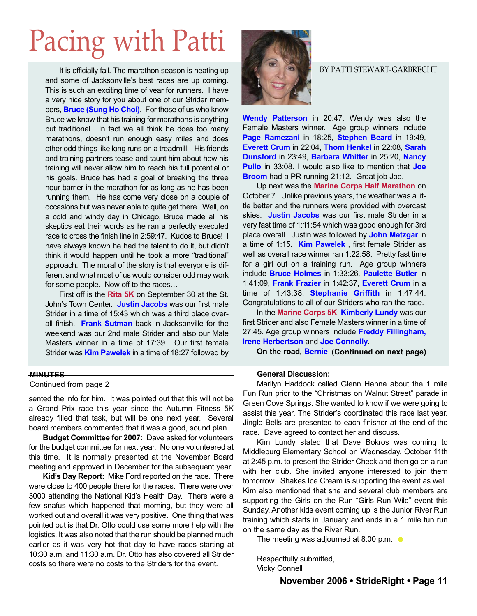# Pacing with Patti

It is officially fall. The marathon season is heating up and some of Jacksonville's best races are up coming. This is such an exciting time of year for runners. I have a very nice story for you about one of our Strider members, **Bruce (Sung Ho Choi)**. For those of us who know Bruce we know that his training for marathons is anything but traditional. In fact we all think he does too many marathons, doesn't run enough easy miles and does other odd things like long runs on a treadmill. His friends and training partners tease and taunt him about how his training will never allow him to reach his full potential or his goals. Bruce has had a goal of breaking the three hour barrier in the marathon for as long as he has been running them. He has come very close on a couple of occasions but was never able to quite get there. Well, on a cold and windy day in Chicago, Bruce made all his skeptics eat their words as he ran a perfectly executed race to cross the finish line in 2:59:47. Kudos to Bruce! I have always known he had the talent to do it, but didn't think it would happen until he took a more "traditional" approach. The moral of the story is that everyone is different and what most of us would consider odd may work for some people. Now off to the races…

First off is the **Rita 5K** on September 30 at the St. John's Town Center. **Justin Jacobs** was our first male Strider in a time of 15:43 which was a third place overall finish. **Frank Sutman** back in Jacksonville for the weekend was our 2nd male Strider and also our Male Masters winner in a time of 17:39. Our first female Strider was **Kim Pawelek** in a time of 18:27 followed by

#### **MINUTES**

Continued from page 2

sented the info for him. It was pointed out that this will not be a Grand Prix race this year since the Autumn Fitness 5K already filled that task, but will be one next year. Several board members commented that it was a good, sound plan.

**Budget Committee for 2007:** Dave asked for volunteers for the budget committee for next year. No one volunteered at this time. It is normally presented at the November Board meeting and approved in December for the subsequent year.

**Kid's Day Report:** Mike Ford reported on the race. There were close to 400 people there for the races. There were over 3000 attending the National Kid's Health Day. There were a few snafus which happened that morning, but they were all worked out and overall it was very positive. One thing that was pointed out is that Dr. Otto could use some more help with the logistics. It was also noted that the run should be planned much earlier as it was very hot that day to have races starting at 10:30 a.m. and 11:30 a.m. Dr. Otto has also covered all Strider costs so there were no costs to the Striders for the event.



#### BY PATTI STEWART-GARBRECHT

**Wendy Patterson** in 20:47. Wendy was also the Female Masters winner. Age group winners include **Page Ramezani** in 18:25, **Stephen Beard** in 19:49, **Everett Crum** in 22:04, **Thom Henkel** in 22:08, **Sarah Dunsford** in 23:49, **Barbara Whitter** in 25:20, **Nancy Pullo** in 33:08. I would also like to mention that **Joe Broom** had a PR running 21:12. Great job Joe.

Up next was the **Marine Corps Half Marathon** on October 7. Unlike previous years, the weather was a little better and the runners were provided with overcast skies. **Justin Jacobs** was our first male Strider in a very fast time of 1:11:54 which was good enough for 3rd place overall. Justin was followed by **John Metzgar** in a time of 1:15. **Kim Pawelek** , first female Strider as well as overall race winner ran 1:22:58. Pretty fast time for a girl out on a training run. Age group winners include **Bruce Holmes** in 1:33:26, **Paulette Butler** in 1:41:09, **Frank Frazier** in 1:42:37, **Everett Crum** in a time of 1:43:38, **Stephanie Griffith** in 1:47:44. Congratulations to all of our Striders who ran the race.

In the **Marine Corps 5K Kimberly Lundy** was our first Strider and also Female Masters winner in a time of 27:45. Age group winners include **Freddy Fillingham, Irene Herbertson** and **Joe Connolly**.

**On the road, Bernie (Continued on next page)**

#### **General Discussion:**

Marilyn Haddock called Glenn Hanna about the 1 mile Fun Run prior to the "Christmas on Walnut Street" parade in Green Cove Springs. She wanted to know if we were going to assist this year. The Strider's coordinated this race last year. Jingle Bells are presented to each finisher at the end of the race. Dave agreed to contact her and discuss.

Kim Lundy stated that Dave Bokros was coming to Middleburg Elementary School on Wednesday, October 11th at 2:45 p.m. to present the Strider Check and then go on a run with her club. She invited anyone interested to join them tomorrow. Shakes Ice Cream is supporting the event as well. Kim also mentioned that she and several club members are supporting the Girls on the Run "Girls Run Wild" event this Sunday. Another kids event coming up is the Junior River Run training which starts in January and ends in a 1 mile fun run on the same day as the River Run.

The meeting was adjourned at 8:00 p.m.  $\bullet$ 

Respectfully submitted, Vicky Connell